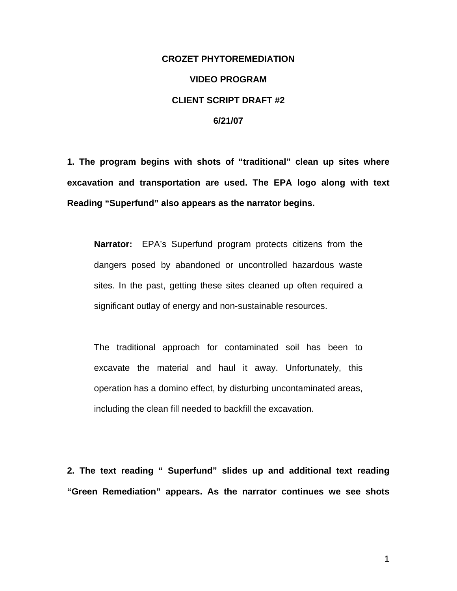## **CROZET PHYTOREMEDIATION VIDEO PROGRAM CLIENT SCRIPT DRAFT #2 6/21/07**

**1. The program begins with shots of "traditional" clean up sites where excavation and transportation are used. The EPA logo along with text Reading "Superfund" also appears as the narrator begins.**

**Narrator:** EPA's Superfund program protects citizens from the dangers posed by abandoned or uncontrolled hazardous waste sites. In the past, getting these sites cleaned up often required a significant outlay of energy and non-sustainable resources.

The traditional approach for contaminated soil has been to excavate the material and haul it away. Unfortunately, this operation has a domino effect, by disturbing uncontaminated areas, including the clean fill needed to backfill the excavation.

**2. The text reading " Superfund" slides up and additional text reading "Green Remediation" appears. As the narrator continues we see shots**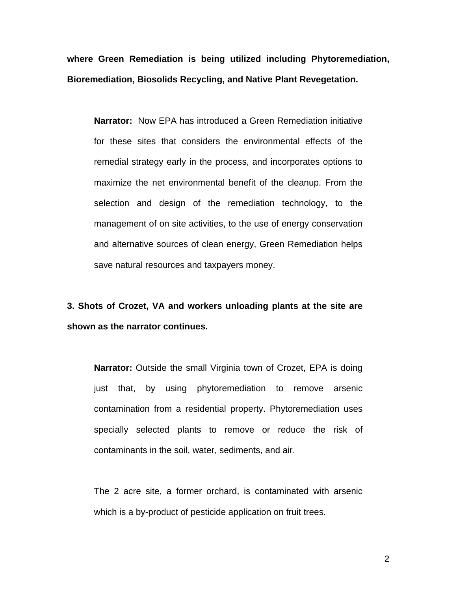**where Green Remediation is being utilized including Phytoremediation, Bioremediation, Biosolids Recycling, and Native Plant Revegetation.** 

**Narrator:** Now EPA has introduced a Green Remediation initiative for these sites that considers the environmental effects of the remedial strategy early in the process, and incorporates options to maximize the net environmental benefit of the cleanup. From the selection and design of the remediation technology, to the management of on site activities, to the use of energy conservation and alternative sources of clean energy, Green Remediation helps save natural resources and taxpayers money.

**3. Shots of Crozet, VA and workers unloading plants at the site are shown as the narrator continues.** 

**Narrator:** Outside the small Virginia town of Crozet, EPA is doing just that, by using phytoremediation to remove arsenic contamination from a residential property. Phytoremediation uses specially selected plants to remove or reduce the risk of contaminants in the soil, water, sediments, and air.

The 2 acre site, a former orchard, is contaminated with arsenic which is a by-product of pesticide application on fruit trees.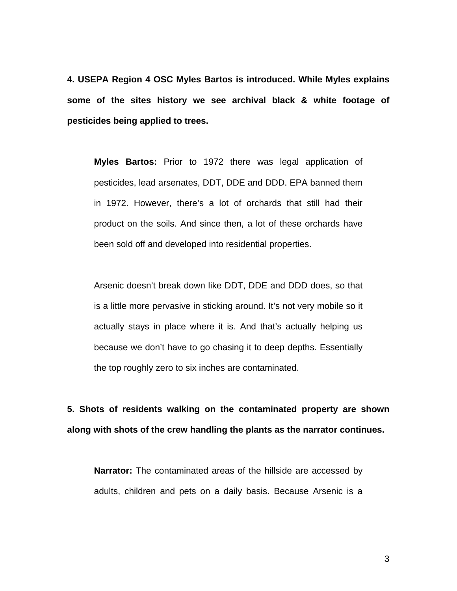**4. USEPA Region 4 OSC Myles Bartos is introduced. While Myles explains some of the sites history we see archival black & white footage of pesticides being applied to trees.** 

**Myles Bartos:** Prior to 1972 there was legal application of pesticides, lead arsenates, DDT, DDE and DDD. EPA banned them in 1972. However, there's a lot of orchards that still had their product on the soils. And since then, a lot of these orchards have been sold off and developed into residential properties.

Arsenic doesn't break down like DDT, DDE and DDD does, so that is a little more pervasive in sticking around. It's not very mobile so it actually stays in place where it is. And that's actually helping us because we don't have to go chasing it to deep depths. Essentially the top roughly zero to six inches are contaminated.

**5. Shots of residents walking on the contaminated property are shown along with shots of the crew handling the plants as the narrator continues.** 

**Narrator:** The contaminated areas of the hillside are accessed by adults, children and pets on a daily basis. Because Arsenic is a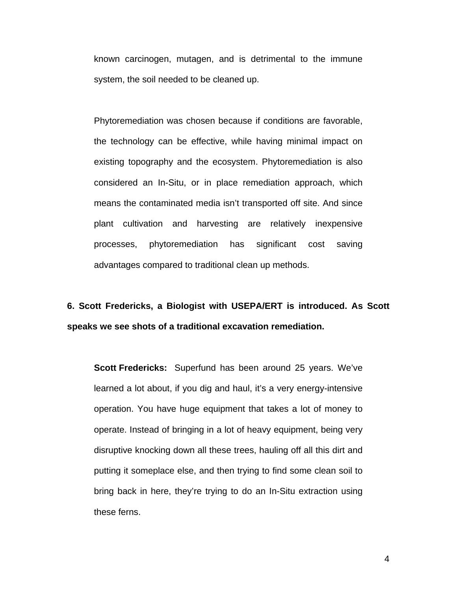known carcinogen, mutagen, and is detrimental to the immune system, the soil needed to be cleaned up.

Phytoremediation was chosen because if conditions are favorable, the technology can be effective, while having minimal impact on existing topography and the ecosystem. Phytoremediation is also considered an In-Situ, or in place remediation approach, which means the contaminated media isn't transported off site. And since plant cultivation and harvesting are relatively inexpensive processes, phytoremediation has significant cost saving advantages compared to traditional clean up methods.

## **6. Scott Fredericks, a Biologist with USEPA/ERT is introduced. As Scott speaks we see shots of a traditional excavation remediation.**

**Scott Fredericks:** Superfund has been around 25 years. We've learned a lot about, if you dig and haul, it's a very energy-intensive operation. You have huge equipment that takes a lot of money to operate. Instead of bringing in a lot of heavy equipment, being very disruptive knocking down all these trees, hauling off all this dirt and putting it someplace else, and then trying to find some clean soil to bring back in here, they're trying to do an In-Situ extraction using these ferns.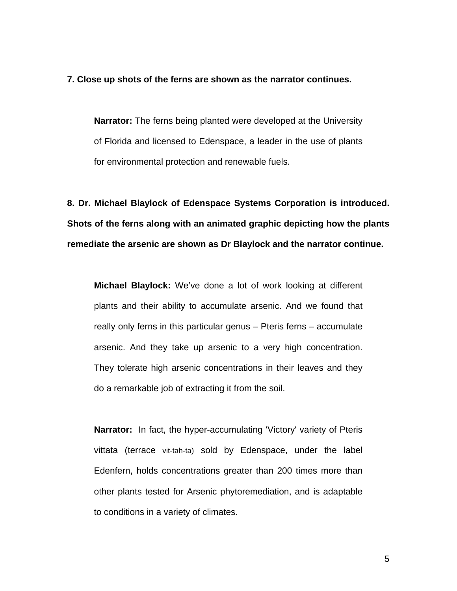## **7. Close up shots of the ferns are shown as the narrator continues.**

**Narrator:** The ferns being planted were developed at the University of Florida and licensed to Edenspace, a leader in the use of plants for environmental protection and renewable fuels.

**8. Dr. Michael Blaylock of Edenspace Systems Corporation is introduced. Shots of the ferns along with an animated graphic depicting how the plants remediate the arsenic are shown as Dr Blaylock and the narrator continue.** 

**Michael Blaylock:** We've done a lot of work looking at different plants and their ability to accumulate arsenic. And we found that really only ferns in this particular genus – Pteris ferns – accumulate arsenic. And they take up arsenic to a very high concentration. They tolerate high arsenic concentrations in their leaves and they do a remarkable job of extracting it from the soil.

**Narrator:** In fact, the hyper-accumulating 'Victory' variety of Pteris vittata (terrace vit-tah-ta) sold by Edenspace, under the label Edenfern, holds concentrations greater than 200 times more than other plants tested for Arsenic phytoremediation, and is adaptable to conditions in a variety of climates.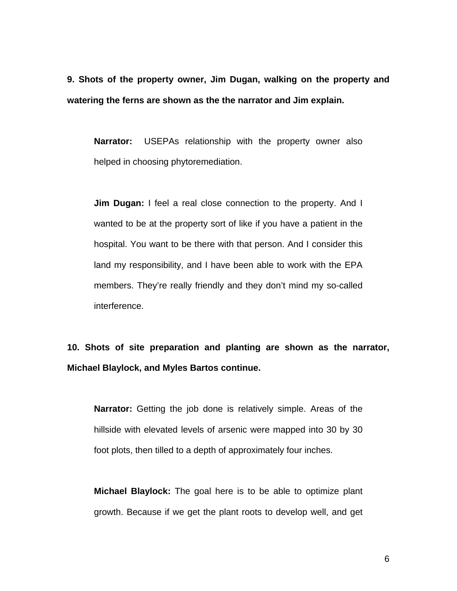**9. Shots of the property owner, Jim Dugan, walking on the property and watering the ferns are shown as the the narrator and Jim explain.** 

**Narrator:** USEPAs relationship with the property owner also helped in choosing phytoremediation.

**Jim Dugan:** I feel a real close connection to the property. And I wanted to be at the property sort of like if you have a patient in the hospital. You want to be there with that person. And I consider this land my responsibility, and I have been able to work with the EPA members. They're really friendly and they don't mind my so-called interference.

**10. Shots of site preparation and planting are shown as the narrator, Michael Blaylock, and Myles Bartos continue.** 

**Narrator:** Getting the job done is relatively simple. Areas of the hillside with elevated levels of arsenic were mapped into 30 by 30 foot plots, then tilled to a depth of approximately four inches.

**Michael Blaylock:** The goal here is to be able to optimize plant growth. Because if we get the plant roots to develop well, and get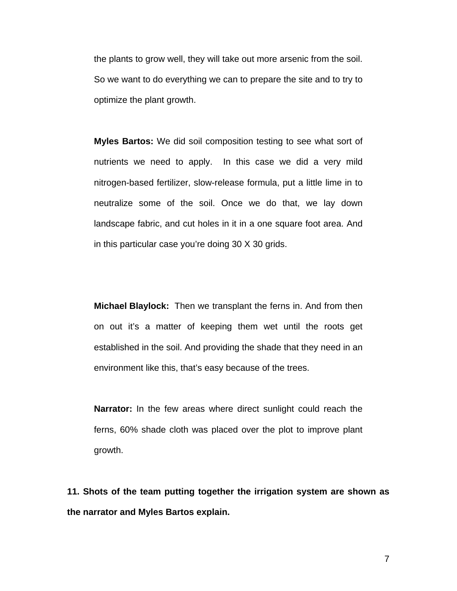the plants to grow well, they will take out more arsenic from the soil. So we want to do everything we can to prepare the site and to try to optimize the plant growth.

**Myles Bartos:** We did soil composition testing to see what sort of nutrients we need to apply. In this case we did a very mild nitrogen-based fertilizer, slow-release formula, put a little lime in to neutralize some of the soil. Once we do that, we lay down landscape fabric, and cut holes in it in a one square foot area. And in this particular case you're doing 30 X 30 grids.

**Michael Blaylock:** Then we transplant the ferns in. And from then on out it's a matter of keeping them wet until the roots get established in the soil. And providing the shade that they need in an environment like this, that's easy because of the trees.

**Narrator:** In the few areas where direct sunlight could reach the ferns, 60% shade cloth was placed over the plot to improve plant growth.

**11. Shots of the team putting together the irrigation system are shown as the narrator and Myles Bartos explain.**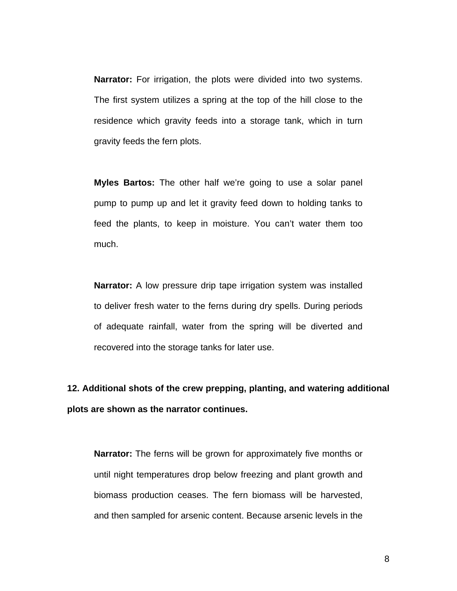**Narrator:** For irrigation, the plots were divided into two systems. The first system utilizes a spring at the top of the hill close to the residence which gravity feeds into a storage tank, which in turn gravity feeds the fern plots.

**Myles Bartos:** The other half we're going to use a solar panel pump to pump up and let it gravity feed down to holding tanks to feed the plants, to keep in moisture. You can't water them too much.

**Narrator:** A low pressure drip tape irrigation system was installed to deliver fresh water to the ferns during dry spells. During periods of adequate rainfall, water from the spring will be diverted and recovered into the storage tanks for later use.

**12. Additional shots of the crew prepping, planting, and watering additional plots are shown as the narrator continues.** 

**Narrator:** The ferns will be grown for approximately five months or until night temperatures drop below freezing and plant growth and biomass production ceases. The fern biomass will be harvested, and then sampled for arsenic content. Because arsenic levels in the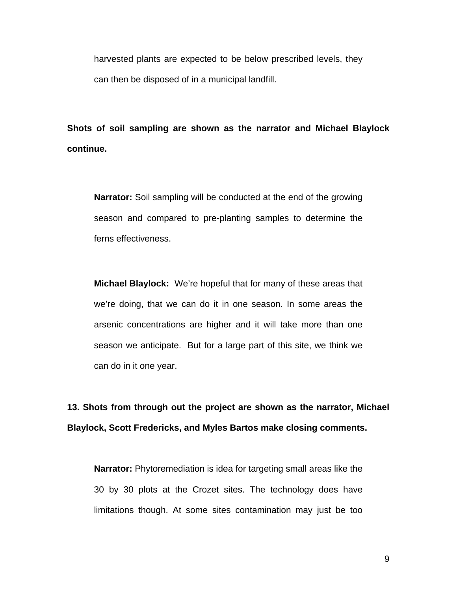harvested plants are expected to be below prescribed levels, they can then be disposed of in a municipal landfill.

**Shots of soil sampling are shown as the narrator and Michael Blaylock continue.** 

**Narrator:** Soil sampling will be conducted at the end of the growing season and compared to pre-planting samples to determine the ferns effectiveness.

**Michael Blaylock:** We're hopeful that for many of these areas that we're doing, that we can do it in one season. In some areas the arsenic concentrations are higher and it will take more than one season we anticipate. But for a large part of this site, we think we can do in it one year.

**13. Shots from through out the project are shown as the narrator, Michael Blaylock, Scott Fredericks, and Myles Bartos make closing comments.** 

**Narrator:** Phytoremediation is idea for targeting small areas like the 30 by 30 plots at the Crozet sites. The technology does have limitations though. At some sites contamination may just be too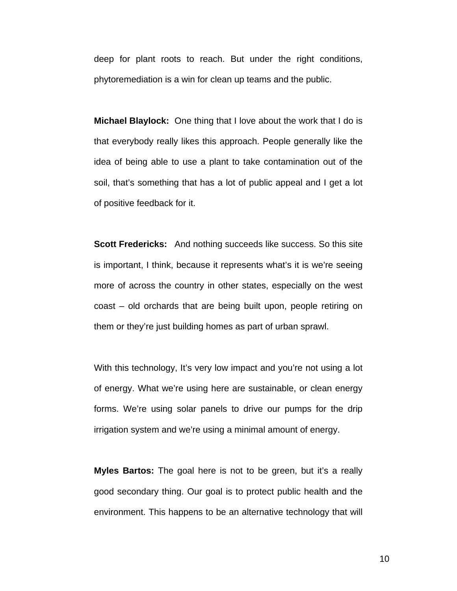deep for plant roots to reach. But under the right conditions, phytoremediation is a win for clean up teams and the public.

**Michael Blaylock:** One thing that I love about the work that I do is that everybody really likes this approach. People generally like the idea of being able to use a plant to take contamination out of the soil, that's something that has a lot of public appeal and I get a lot of positive feedback for it.

**Scott Fredericks:** And nothing succeeds like success. So this site is important, I think, because it represents what's it is we're seeing more of across the country in other states, especially on the west coast – old orchards that are being built upon, people retiring on them or they're just building homes as part of urban sprawl.

With this technology, It's very low impact and you're not using a lot of energy. What we're using here are sustainable, or clean energy forms. We're using solar panels to drive our pumps for the drip irrigation system and we're using a minimal amount of energy.

**Myles Bartos:** The goal here is not to be green, but it's a really good secondary thing. Our goal is to protect public health and the environment. This happens to be an alternative technology that will